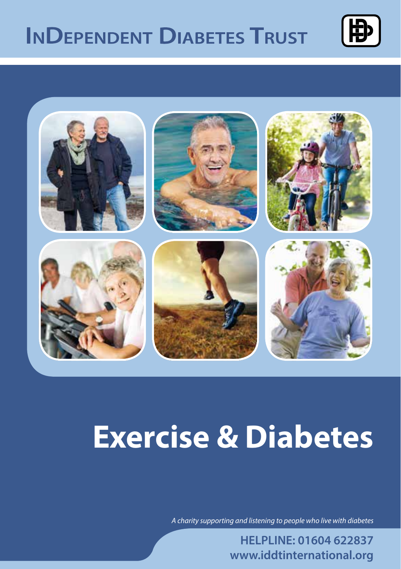## **INDEPENDENT DIABETES TRUST**





# **Exercise & Diabetes**

*A charity supporting and listening to people who live with diabetes*

**HELPLINE: 01604 622837 www.iddtinternational.org**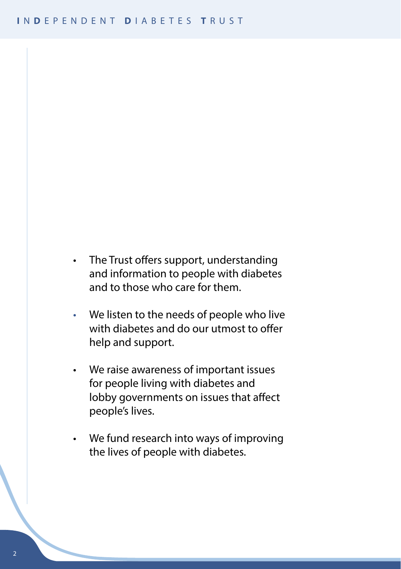- The Trust offers support, understanding and information to people with diabetes and to those who care for them.
- We listen to the needs of people who live with diabetes and do our utmost to offer help and support.
- We raise awareness of important issues for people living with diabetes and lobby governments on issues that affect people's lives.
- We fund research into ways of improving the lives of people with diabetes.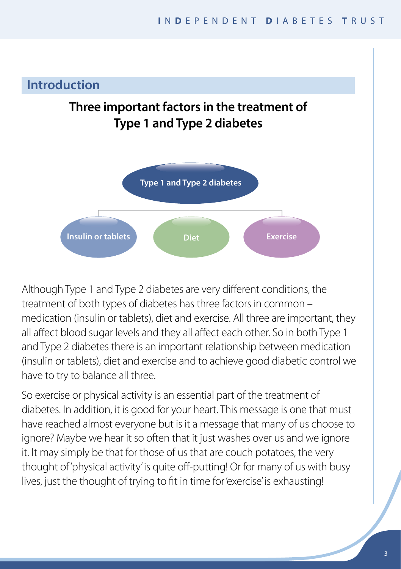## **Introduction**

## **Three important factors in the treatment of Type 1 and Type 2 diabetes**



**Type 1 diagram**<br>**The integral is about** Although Type 1 and Type 2 diabetes are very different conditions, the treatment of both types of diabetes has three factors in common – medication (insulin or tablets), diet and exercise. All three are important, they all affect blood sugar levels and they all affect each other. So in both Type 1 and Type 2 diabetes there is an important relationship between medication (insulin or tablets), diet and exercise and to achieve good diabetic control we have to try to balance all three.

So exercise or physical activity is an essential part of the treatment of diabetes. In addition, it is good for your heart. This message is one that must have reached almost everyone but is it a message that many of us choose to ignore? Maybe we hear it so often that it just washes over us and we ignore it. It may simply be that for those of us that are couch potatoes, the very thought of 'physical activity' is quite off-putting! Or for many of us with busy lives, just the thought of trying to fit in time for 'exercise' is exhausting!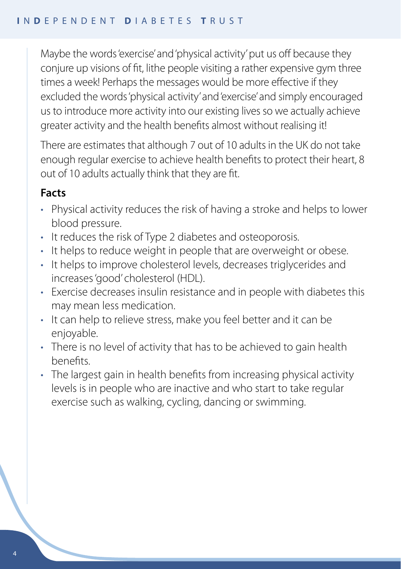Maybe the words 'exercise' and 'physical activity' put us off because they conjure up visions of fit, lithe people visiting a rather expensive gym three times a week! Perhaps the messages would be more effective if they excluded the words 'physical activity' and 'exercise' and simply encouraged us to introduce more activity into our existing lives so we actually achieve greater activity and the health benefits almost without realising it!

There are estimates that although 7 out of 10 adults in the UK do not take enough regular exercise to achieve health benefits to protect their heart, 8 out of 10 adults actually think that they are fit.

## **Facts**

- Physical activity reduces the risk of having a stroke and helps to lower blood pressure.
- It reduces the risk of Type 2 diabetes and osteoporosis.
- It helps to reduce weight in people that are overweight or obese.
- It helps to improve cholesterol levels, decreases triglycerides and increases 'good' cholesterol (HDL).
- Exercise decreases insulin resistance and in people with diabetes this may mean less medication.
- It can help to relieve stress, make you feel better and it can be enjoyable.
- There is no level of activity that has to be achieved to gain health benefits.
- The largest gain in health benefits from increasing physical activity levels is in people who are inactive and who start to take regular exercise such as walking, cycling, dancing or swimming.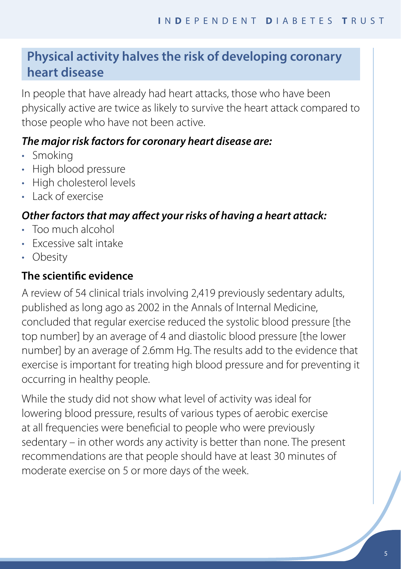## **Physical activity halves the risk of developing coronary heart disease**

In people that have already had heart attacks, those who have been physically active are twice as likely to survive the heart attack compared to those people who have not been active.

## *The major risk factors for coronary heart disease are:*

- Smoking
- High blood pressure
- High cholesterol levels
- Lack of exercise

## *Other factors that may affect your risks of having a heart attack:*

- Too much alcohol
- Excessive salt intake
- Obesity

## **The scientific evidence**

A review of 54 clinical trials involving 2,419 previously sedentary adults, published as long ago as 2002 in the Annals of Internal Medicine, concluded that regular exercise reduced the systolic blood pressure [the top number] by an average of 4 and diastolic blood pressure [the lower number] by an average of 2.6mm Hg. The results add to the evidence that exercise is important for treating high blood pressure and for preventing it occurring in healthy people.

While the study did not show what level of activity was ideal for lowering blood pressure, results of various types of aerobic exercise at all frequencies were beneficial to people who were previously sedentary – in other words any activity is better than none. The present recommendations are that people should have at least 30 minutes of moderate exercise on 5 or more days of the week.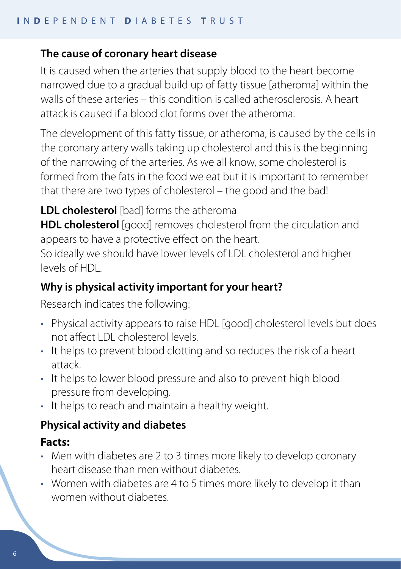#### **The cause of coronary heart disease**

It is caused when the arteries that supply blood to the heart become narrowed due to a gradual build up of fatty tissue [atheroma] within the walls of these arteries – this condition is called atherosclerosis. A heart attack is caused if a blood clot forms over the atheroma.

The development of this fatty tissue, or atheroma, is caused by the cells in the coronary artery walls taking up cholesterol and this is the beginning of the narrowing of the arteries. As we all know, some cholesterol is formed from the fats in the food we eat but it is important to remember that there are two types of cholesterol – the good and the bad!

**LDL cholesterol** [bad] forms the atheroma

**HDL cholesterol** [good] removes cholesterol from the circulation and appears to have a protective effect on the heart.

So ideally we should have lower levels of LDL cholesterol and higher levels of HDL.

#### **Why is physical activity important for your heart?**

Research indicates the following:

- Physical activity appears to raise HDL [good] cholesterol levels but does not affect LDL cholesterol levels.
- It helps to prevent blood clotting and so reduces the risk of a heart attack.
- It helps to lower blood pressure and also to prevent high blood pressure from developing.
- It helps to reach and maintain a healthy weight.

#### **Physical activity and diabetes**

#### **Facts:**

- Men with diabetes are 2 to 3 times more likely to develop coronary heart disease than men without diabetes.
- Women with diabetes are 4 to 5 times more likely to develop it than women without diabetes.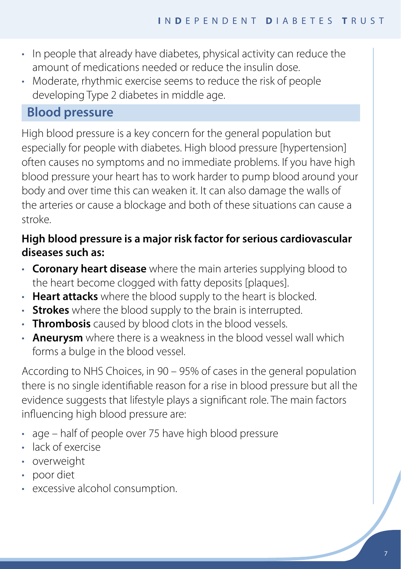- In people that already have diabetes, physical activity can reduce the amount of medications needed or reduce the insulin dose.
- Moderate, rhythmic exercise seems to reduce the risk of people developing Type 2 diabetes in middle age.

## **Blood pressure**

High blood pressure is a key concern for the general population but especially for people with diabetes. High blood pressure [hypertension] often causes no symptoms and no immediate problems. If you have high blood pressure your heart has to work harder to pump blood around your body and over time this can weaken it. It can also damage the walls of the arteries or cause a blockage and both of these situations can cause a stroke.

## **High blood pressure is a major risk factor for serious cardiovascular diseases such as:**

- **Coronary heart disease** where the main arteries supplying blood to the heart become clogged with fatty deposits [plaques].
- **Heart attacks** where the blood supply to the heart is blocked.
- **Strokes** where the blood supply to the brain is interrupted.
- **Thrombosis** caused by blood clots in the blood vessels.
- **Aneurysm** where there is a weakness in the blood vessel wall which forms a bulge in the blood vessel.

According to NHS Choices, in 90 – 95% of cases in the general population there is no single identifiable reason for a rise in blood pressure but all the evidence suggests that lifestyle plays a significant role. The main factors influencing high blood pressure are:

- age half of people over 75 have high blood pressure
- lack of exercise
- overweight
- poor diet
- excessive alcohol consumption.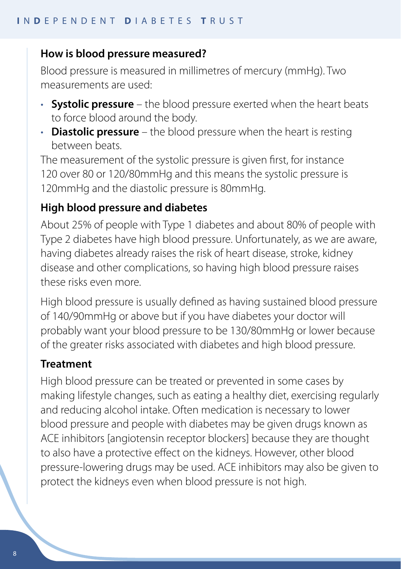#### **How is blood pressure measured?**

Blood pressure is measured in millimetres of mercury (mmHg). Two measurements are used:

- **Systolic pressure** the blood pressure exerted when the heart beats to force blood around the body.
- **Diastolic pressure** the blood pressure when the heart is resting between beats.

The measurement of the systolic pressure is given first, for instance 120 over 80 or 120/80mmHg and this means the systolic pressure is 120mmHg and the diastolic pressure is 80mmHg.

#### **High blood pressure and diabetes**

About 25% of people with Type 1 diabetes and about 80% of people with Type 2 diabetes have high blood pressure. Unfortunately, as we are aware, having diabetes already raises the risk of heart disease, stroke, kidney disease and other complications, so having high blood pressure raises these risks even more.

High blood pressure is usually defined as having sustained blood pressure of 140/90mmHg or above but if you have diabetes your doctor will probably want your blood pressure to be 130/80mmHg or lower because of the greater risks associated with diabetes and high blood pressure.

#### **Treatment**

High blood pressure can be treated or prevented in some cases by making lifestyle changes, such as eating a healthy diet, exercising regularly and reducing alcohol intake. Often medication is necessary to lower blood pressure and people with diabetes may be given drugs known as ACE inhibitors [angiotensin receptor blockers] because they are thought to also have a protective effect on the kidneys. However, other blood pressure-lowering drugs may be used. ACE inhibitors may also be given to protect the kidneys even when blood pressure is not high.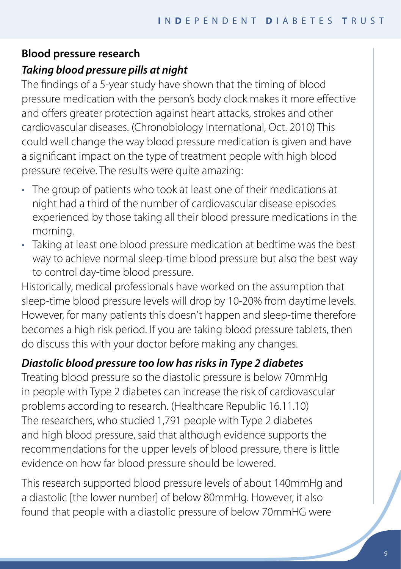#### **Blood pressure research**

## *Taking blood pressure pills at night*

The findings of a 5-year study have shown that the timing of blood pressure medication with the person's body clock makes it more effective and offers greater protection against heart attacks, strokes and other cardiovascular diseases. (Chronobiology International, Oct. 2010) This could well change the way blood pressure medication is given and have a significant impact on the type of treatment people with high blood pressure receive. The results were quite amazing:

- The group of patients who took at least one of their medications at night had a third of the number of cardiovascular disease episodes experienced by those taking all their blood pressure medications in the morning.
- Taking at least one blood pressure medication at bedtime was the best way to achieve normal sleep-time blood pressure but also the best way to control day-time blood pressure.

Historically, medical professionals have worked on the assumption that sleep-time blood pressure levels will drop by 10-20% from daytime levels. However, for many patients this doesn't happen and sleep-time therefore becomes a high risk period. If you are taking blood pressure tablets, then do discuss this with your doctor before making any changes.

## *Diastolic blood pressure too low has risks in Type 2 diabetes*

Treating blood pressure so the diastolic pressure is below 70mmHg in people with Type 2 diabetes can increase the risk of cardiovascular problems according to research. (Healthcare Republic 16.11.10) The researchers, who studied 1,791 people with Type 2 diabetes and high blood pressure, said that although evidence supports the recommendations for the upper levels of blood pressure, there is little evidence on how far blood pressure should be lowered.

This research supported blood pressure levels of about 140mmHg and a diastolic [the lower number] of below 80mmHg. However, it also found that people with a diastolic pressure of below 70mmHG were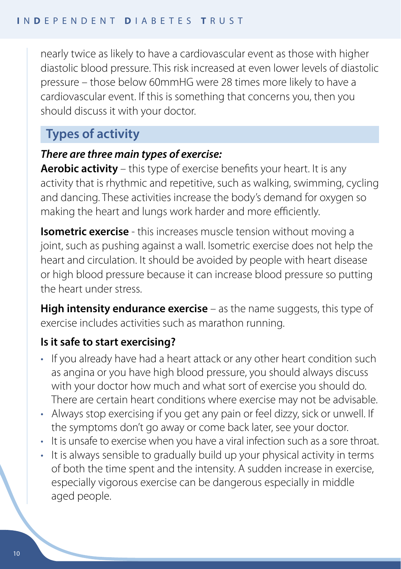nearly twice as likely to have a cardiovascular event as those with higher diastolic blood pressure. This risk increased at even lower levels of diastolic pressure – those below 60mmHG were 28 times more likely to have a cardiovascular event. If this is something that concerns you, then you should discuss it with your doctor.

## **Types of activity**

#### *There are three main types of exercise:*

**Aerobic activity** – this type of exercise benefits your heart. It is any activity that is rhythmic and repetitive, such as walking, swimming, cycling and dancing. These activities increase the body's demand for oxygen so making the heart and lungs work harder and more efficiently.

**Isometric exercise** - this increases muscle tension without moving a joint, such as pushing against a wall. Isometric exercise does not help the heart and circulation. It should be avoided by people with heart disease or high blood pressure because it can increase blood pressure so putting the heart under stress.

**High intensity endurance exercise** – as the name suggests, this type of exercise includes activities such as marathon running.

#### **Is it safe to start exercising?**

- If you already have had a heart attack or any other heart condition such as angina or you have high blood pressure, you should always discuss with your doctor how much and what sort of exercise you should do. There are certain heart conditions where exercise may not be advisable.
- Always stop exercising if you get any pain or feel dizzy, sick or unwell. If the symptoms don't go away or come back later, see your doctor.
- It is unsafe to exercise when you have a viral infection such as a sore throat.
- It is always sensible to gradually build up your physical activity in terms of both the time spent and the intensity. A sudden increase in exercise, especially vigorous exercise can be dangerous especially in middle aged people.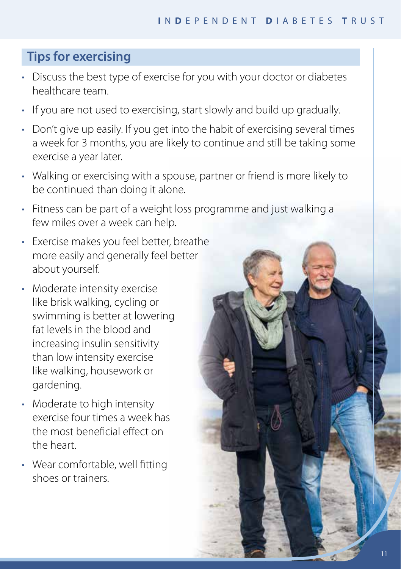## **Tips for exercising**

- Discuss the best type of exercise for you with your doctor or diabetes healthcare team.
- If you are not used to exercising, start slowly and build up gradually.
- Don't give up easily. If you get into the habit of exercising several times a week for 3 months, you are likely to continue and still be taking some exercise a year later.
- Walking or exercising with a spouse, partner or friend is more likely to be continued than doing it alone.
- Fitness can be part of a weight loss programme and just walking a few miles over a week can help.
- Exercise makes you feel better, breathe more easily and generally feel better about yourself.
- Moderate intensity exercise like brisk walking, cycling or swimming is better at lowering fat levels in the blood and increasing insulin sensitivity than low intensity exercise like walking, housework or gardening.
- Moderate to high intensity exercise four times a week has the most beneficial effect on the heart.
- Wear comfortable, well fitting shoes or trainers.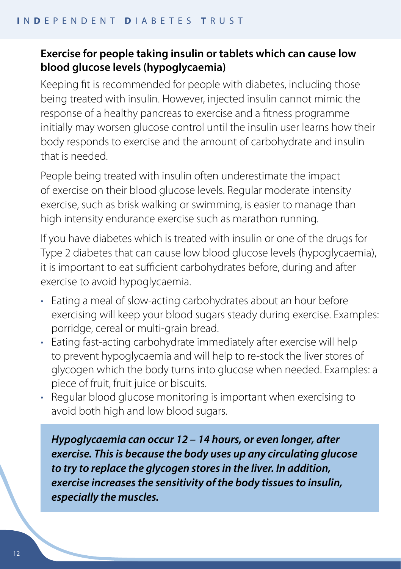#### **Exercise for people taking insulin or tablets which can cause low blood glucose levels (hypoglycaemia)**

Keeping fit is recommended for people with diabetes, including those being treated with insulin. However, injected insulin cannot mimic the response of a healthy pancreas to exercise and a fitness programme initially may worsen glucose control until the insulin user learns how their body responds to exercise and the amount of carbohydrate and insulin that is needed.

People being treated with insulin often underestimate the impact of exercise on their blood glucose levels. Regular moderate intensity exercise, such as brisk walking or swimming, is easier to manage than high intensity endurance exercise such as marathon running.

If you have diabetes which is treated with insulin or one of the drugs for Type 2 diabetes that can cause low blood glucose levels (hypoglycaemia), it is important to eat sufficient carbohydrates before, during and after exercise to avoid hypoglycaemia.

- Eating a meal of slow-acting carbohydrates about an hour before exercising will keep your blood sugars steady during exercise. Examples: porridge, cereal or multi-grain bread.
- Eating fast-acting carbohydrate immediately after exercise will help to prevent hypoglycaemia and will help to re-stock the liver stores of glycogen which the body turns into glucose when needed. Examples: a piece of fruit, fruit juice or biscuits.
- Regular blood glucose monitoring is important when exercising to avoid both high and low blood sugars.

*Hypoglycaemia can occur 12 – 14 hours, or even longer, after exercise. This is because the body uses up any circulating glucose to try to replace the glycogen stores in the liver. In addition, exercise increases the sensitivity of the body tissues to insulin, especially the muscles.*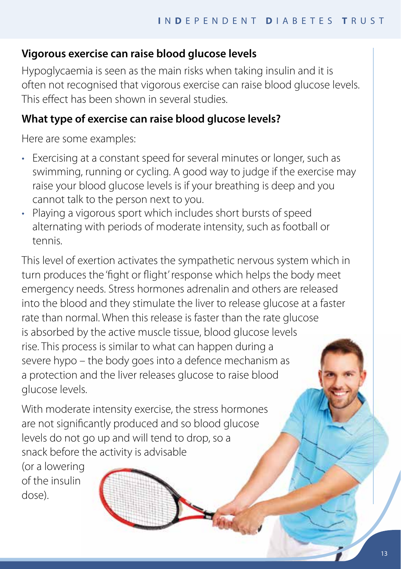## **Vigorous exercise can raise blood glucose levels**

Hypoglycaemia is seen as the main risks when taking insulin and it is often not recognised that vigorous exercise can raise blood glucose levels. This effect has been shown in several studies.

## **What type of exercise can raise blood glucose levels?**

Here are some examples:

- Exercising at a constant speed for several minutes or longer, such as swimming, running or cycling. A good way to judge if the exercise may raise your blood glucose levels is if your breathing is deep and you cannot talk to the person next to you.
- Playing a vigorous sport which includes short bursts of speed alternating with periods of moderate intensity, such as football or tennis.

This level of exertion activates the sympathetic nervous system which in turn produces the 'fight or flight' response which helps the body meet emergency needs. Stress hormones adrenalin and others are released into the blood and they stimulate the liver to release glucose at a faster rate than normal. When this release is faster than the rate glucose is absorbed by the active muscle tissue, blood glucose levels rise. This process is similar to what can happen during a severe hypo – the body goes into a defence mechanism as a protection and the liver releases glucose to raise blood glucose levels.

**Hart** 

With moderate intensity exercise, the stress hormones are not significantly produced and so blood glucose levels do not go up and will tend to drop, so a snack before the activity is advisable

(or a lowering of the insulin dose).

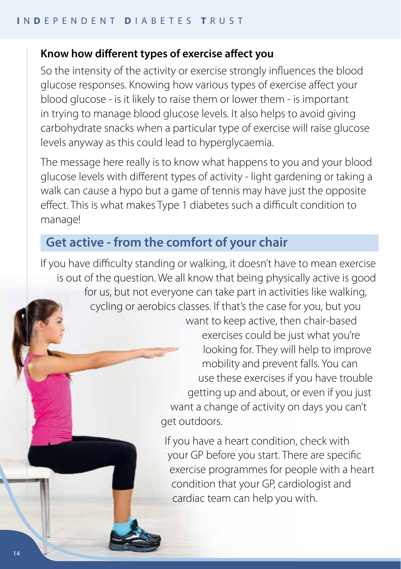#### **Know how different types of exercise affect you**

So the intensity of the activity or exercise strongly influences the blood glucose responses. Knowing how various types of exercise affect your blood glucose - is it likely to raise them or lower them - is important in trying to manage blood glucose levels. It also helps to avoid giving carbohydrate snacks when a particular type of exercise will raise glucose levels anyway as this could lead to hyperglycaemia.

The message here really is to know what happens to you and your blood glucose levels with different types of activity - light gardening or taking a walk can cause a hypo but a game of tennis may have just the opposite effect. This is what makes Type 1 diabetes such a difficult condition to manage!

## **Get active - from the comfort of your chair**

If you have difficulty standing or walking, it doesn't have to mean exercise is out of the question. We all know that being physically active is good for us, but not everyone can take part in activities like walking, cycling or aerobics classes. If that's the case for you, but you want to keep active, then chair-based

exercises could be just what you're looking for. They will help to improve mobility and prevent falls. You can use these exercises if you have trouble getting up and about, or even if you just want a change of activity on days you can't get outdoors.

If you have a heart condition, check with your GP before you start. There are specific exercise programmes for people with a heart condition that your GP, cardiologist and cardiac team can help you with.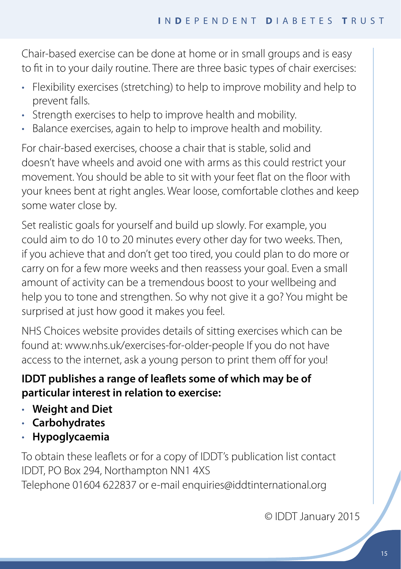Chair-based exercise can be done at home or in small groups and is easy to fit in to your daily routine. There are three basic types of chair exercises:

- Flexibility exercises (stretching) to help to improve mobility and help to prevent falls.
- Strength exercises to help to improve health and mobility.
- Balance exercises, again to help to improve health and mobility.

For chair-based exercises, choose a chair that is stable, solid and doesn't have wheels and avoid one with arms as this could restrict your movement. You should be able to sit with your feet flat on the floor with your knees bent at right angles. Wear loose, comfortable clothes and keep some water close by.

Set realistic goals for yourself and build up slowly. For example, you could aim to do 10 to 20 minutes every other day for two weeks. Then, if you achieve that and don't get too tired, you could plan to do more or carry on for a few more weeks and then reassess your goal. Even a small amount of activity can be a tremendous boost to your wellbeing and help you to tone and strengthen. So why not give it a go? You might be surprised at just how good it makes you feel.

NHS Choices website provides details of sitting exercises which can be found at: www.nhs.uk/exercises-for-older-people If you do not have access to the internet, ask a young person to print them off for you!

## **IDDT publishes a range of leaflets some of which may be of particular interest in relation to exercise:**

- **Weight and Diet**
- **Carbohydrates**
- **Hypoglycaemia**

To obtain these leaflets or for a copy of IDDT's publication list contact IDDT, PO Box 294, Northampton NN1 4XS

Telephone 01604 622837 or e-mail enquiries@iddtinternational.org

© IDDT January 2015